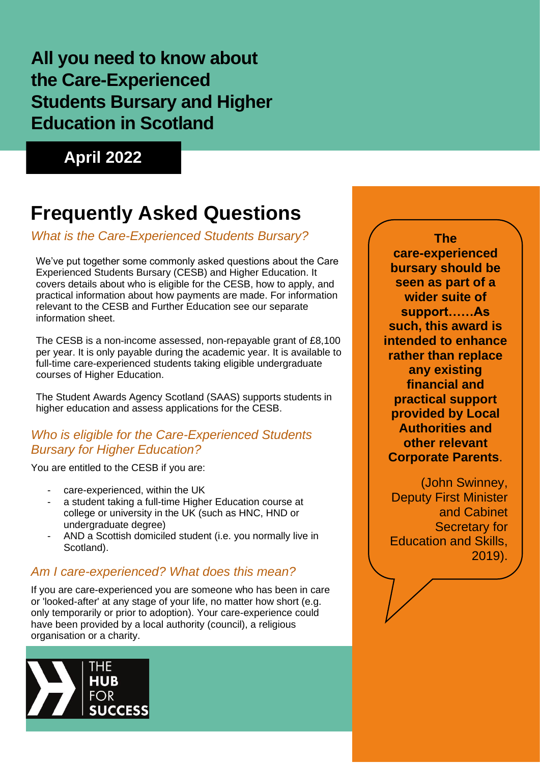## **All you need to know about the Care-Experienced Students Bursary and Higher Education in Scotland**

**April 2022**

# **Frequently Asked Questions**

## *What is the Care-Experienced Students Bursary?*

We've put together some commonly asked questions about the Care Experienced Students Bursary (CESB) and Higher Education. It covers details about who is eligible for the CESB, how to apply, and practical information about how payments are made. For information relevant to the CESB and Further Education see our separate information sheet.

The CESB is a non-income assessed, non-repayable grant of £8,100 per year. It is only payable during the academic year. It is available to full-time care-experienced students taking eligible undergraduate courses of Higher Education.

The Student Awards Agency Scotland (SAAS) supports students in higher education and assess applications for the CESB.

## *Who is eligible for the Care-Experienced Students Bursary for Higher Education?*

You are entitled to the CESB if you are:

- care-experienced, within the UK
- a student taking a full-time Higher Education course at college or university in the UK (such as HNC, HND or undergraduate degree)
- AND a Scottish domiciled student (i.e. you normally live in Scotland).

## *Am I care-experienced? What does this mean?*

If you are care-experienced you are someone who has been in care or 'looked-after' at any stage of your life, no matter how short (e.g. only temporarily or prior to adoption). Your care-experience could have been provided by a local authority (council), a religious organisation or a charity.



**The care-experienced bursary should be seen as part of a wider suite of support……As such, this award is intended to enhance rather than replace any existing financial and practical support provided by Local Authorities and other relevant Corporate Parents**.

(John Swinney, Deputy First Minister and Cabinet Secretary for Education and Skills, 2019).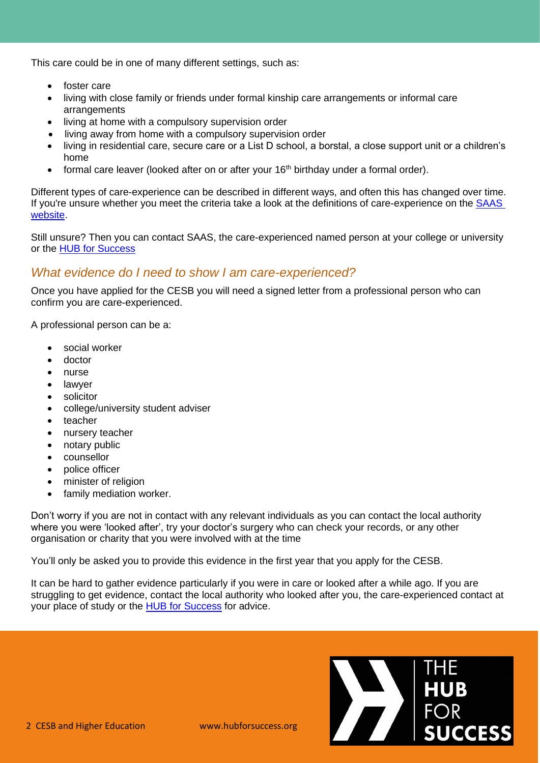This care could be in one of many different settings, such as:

- foster care
- living with close family or friends under formal kinship care arrangements or informal care arrangements
- living at home with a compulsory supervision order
- living away from home with a compulsory supervision order
- living in residential care, secure care or a List D school, a borstal, a close support unit or a children's home
- formal care leaver (looked after on or after your 16<sup>th</sup> birthday under a formal order).

Different types of care-experience can be described in different ways, and often this has changed over time. If you're unsure whether you meet the criteria take a look at the definitions of care-experience on the [SAAS](https://www.saas.gov.uk/full-time/support-for-care-experienced-students)  [website.](https://www.saas.gov.uk/full-time/support-for-care-experienced-students)

Still unsure? Then you can contact SAAS, the care-experienced named person at your college or university or the [HUB for Success](https://hubforsuccess.org/who-are-the-hub/)

## *What evidence do I need to show I am care-experienced?*

Once you have applied for the CESB you will need a signed letter from a professional person who can confirm you are care-experienced.

A professional person can be a:

- social worker
- doctor
- nurse
- lawyer
- solicitor
- college/university student adviser
- teacher
- nursery teacher
- notary public
- counsellor
- police officer
- minister of religion
- family mediation worker.

Don't worry if you are not in contact with any relevant individuals as you can contact the local authority where you were 'looked after', try your doctor's surgery who can check your records, or any other organisation or charity that you were involved with at the time

You'll only be asked you to provide this evidence in the first year that you apply for the CESB.

It can be hard to gather evidence particularly if you were in care or looked after a while ago. If you are struggling to get evidence, contact the local authority who looked after you, the care-experienced contact at your place of study or the **HUB** [for Success](https://hubforsuccess.org/who-are-the-hub/) for advice.

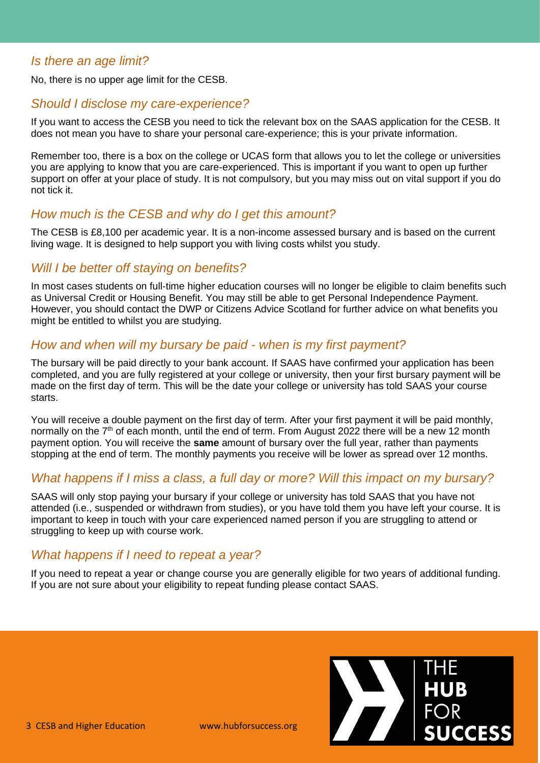#### *Is there an age limit?*

No, there is no upper age limit for the CESB.

#### *Should I disclose my care-experience?*

If you want to access the CESB you need to tick the relevant box on the SAAS application for the CESB. It does not mean you have to share your personal care-experience; this is your private information.

Remember too, there is a box on the college or UCAS form that allows you to let the college or universities you are applying to know that you are care-experienced. This is important if you want to open up further support on offer at your place of study. It is not compulsory, but you may miss out on vital support if you do not tick it.

#### *How much is the CESB and why do I get this amount?*

The CESB is £8,100 per academic year. It is a non-income assessed bursary and is based on the current living wage. It is designed to help support you with living costs whilst you study.

#### *Will I be better off staying on benefits?*

In most cases students on full-time higher education courses will no longer be eligible to claim benefits such as Universal Credit or Housing Benefit. You may still be able to get Personal Independence Payment. However, you should contact the DWP or Citizens Advice Scotland for further advice on what benefits you might be entitled to whilst you are studying.

#### *How and when will my bursary be paid - when is my first payment?*

The bursary will be paid directly to your bank account. If SAAS have confirmed your application has been completed, and you are fully registered at your college or university, then your first bursary payment will be made on the first day of term. This will be the date your college or university has told SAAS your course starts.

You will receive a double payment on the first day of term. After your first payment it will be paid monthly, normally on the  $7<sup>th</sup>$  of each month, until the end of term. From August 2022 there will be a new 12 month payment option. You will receive the **same** amount of bursary over the full year, rather than payments stopping at the end of term. The monthly payments you receive will be lower as spread over 12 months.

## *What happens if I miss a class, a full day or more? Will this impact on my bursary?*

SAAS will only stop paying your bursary if your college or university has told SAAS that you have not attended (i.e., suspended or withdrawn from studies), or you have told them you have left your course. It is important to keep in touch with your care experienced named person if you are struggling to attend or struggling to keep up with course work.

## *What happens if I need to repeat a year?*

If you need to repeat a year or change course you are generally eligible for two years of additional funding. If you are not sure about your eligibility to repeat funding please contact SAAS.